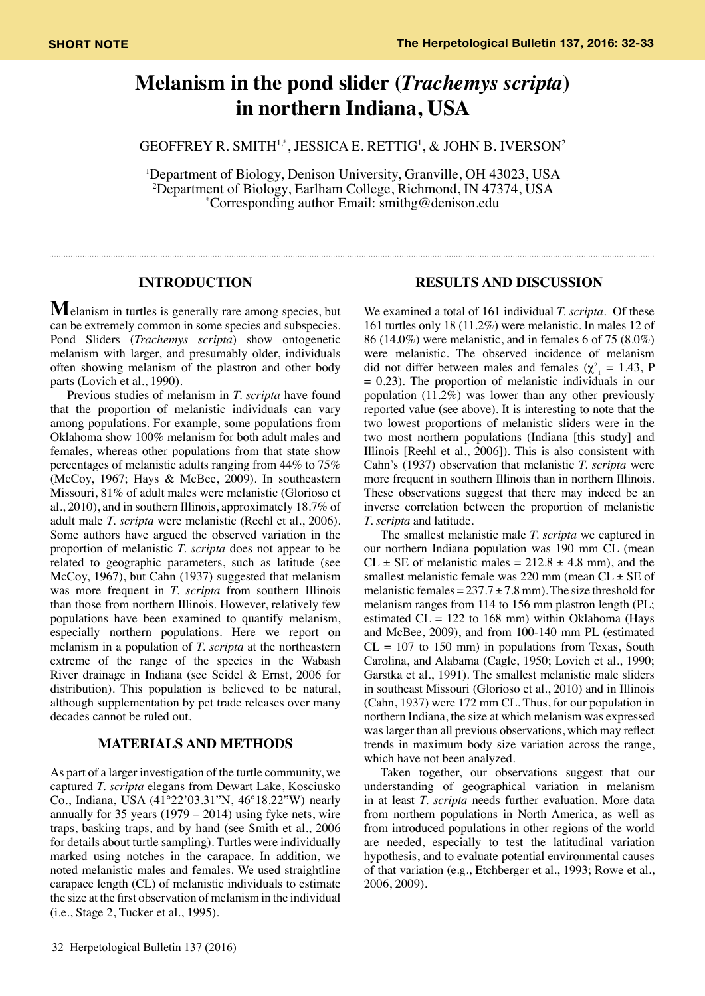# **Melanism in the pond slider (***Trachemys scripta***) in northern Indiana, USA**

Geoffrey R. Smith1,\*, Jessica E. Rettig1 , & John B. Iverson2

<sup>1</sup>Department of Biology, Denison University, Granville, OH 43023, USA <sup>2</sup>Department of Biology, Earlham College, Richmond, IN 47374, USA  $*$ Corresponding author Email: smithg@denison.edu Corresponding author Email: smithg@denison.edu

### **INTRODUCTION**

**M**elanism in turtles is generally rare among species, but can be extremely common in some species and subspecies. Pond Sliders (*Trachemys scripta*) show ontogenetic melanism with larger, and presumably older, individuals often showing melanism of the plastron and other body parts (Lovich et al., 1990).

Previous studies of melanism in *T. scripta* have found that the proportion of melanistic individuals can vary among populations. For example, some populations from Oklahoma show 100% melanism for both adult males and females, whereas other populations from that state show percentages of melanistic adults ranging from 44% to 75% (McCoy, 1967; Hays & McBee, 2009). In southeastern Missouri, 81% of adult males were melanistic (Glorioso et al., 2010), and in southern Illinois, approximately 18.7% of adult male *T. scripta* were melanistic (Reehl et al., 2006). Some authors have argued the observed variation in the proportion of melanistic *T. scripta* does not appear to be related to geographic parameters, such as latitude (see McCoy, 1967), but Cahn (1937) suggested that melanism was more frequent in *T. scripta* from southern Illinois than those from northern Illinois. However, relatively few populations have been examined to quantify melanism, especially northern populations. Here we report on melanism in a population of *T. scripta* at the northeastern extreme of the range of the species in the Wabash River drainage in Indiana (see Seidel & Ernst, 2006 for distribution). This population is believed to be natural, although supplementation by pet trade releases over many decades cannot be ruled out.

## **MATERIALS AND METHODS**

As part of a larger investigation of the turtle community, we captured *T. scripta* elegans from Dewart Lake, Kosciusko Co., Indiana, USA (41°22'03.31"N, 46°18.22"W) nearly annually for 35 years (1979 – 2014) using fyke nets, wire traps, basking traps, and by hand (see Smith et al., 2006 for details about turtle sampling). Turtles were individually marked using notches in the carapace. In addition, we noted melanistic males and females. We used straightline carapace length (CL) of melanistic individuals to estimate the size at the first observation of melanism in the individual (i.e., Stage 2, Tucker et al., 1995).

#### **RESULTS AND DISCUSSION**

We examined a total of 161 individual *T. scripta*. Of these 161 turtles only 18 (11.2%) were melanistic. In males 12 of 86 (14.0%) were melanistic, and in females 6 of 75 (8.0%) were melanistic. The observed incidence of melanism did not differ between males and females ( $\chi^2$ <sub>1</sub> = 1.43, P = 0.23). The proportion of melanistic individuals in our population (11.2%) was lower than any other previously reported value (see above). It is interesting to note that the two lowest proportions of melanistic sliders were in the two most northern populations (Indiana [this study] and Illinois [Reehl et al., 2006]). This is also consistent with Cahn's (1937) observation that melanistic *T. scripta* were more frequent in southern Illinois than in northern Illinois. These observations suggest that there may indeed be an inverse correlation between the proportion of melanistic *T. scripta* and latitude.

 The smallest melanistic male *T. scripta* we captured in our northern Indiana population was 190 mm CL (mean  $CL \pm SE$  of melanistic males = 212.8  $\pm$  4.8 mm), and the smallest melanistic female was 220 mm (mean  $CL \pm SE$  of melanistic females =  $237.7 \pm 7.8$  mm). The size threshold for melanism ranges from 114 to 156 mm plastron length (PL; estimated  $CL = 122$  to 168 mm) within Oklahoma (Hays and McBee, 2009), and from 100-140 mm PL (estimated  $CL = 107$  to 150 mm) in populations from Texas, South Carolina, and Alabama (Cagle, 1950; Lovich et al., 1990; Garstka et al., 1991). The smallest melanistic male sliders in southeast Missouri (Glorioso et al., 2010) and in Illinois (Cahn, 1937) were 172 mm CL. Thus, for our population in northern Indiana, the size at which melanism was expressed was larger than all previous observations, which may reflect trends in maximum body size variation across the range, which have not been analyzed.

 Taken together, our observations suggest that our understanding of geographical variation in melanism in at least *T. scripta* needs further evaluation. More data from northern populations in North America, as well as from introduced populations in other regions of the world are needed, especially to test the latitudinal variation hypothesis, and to evaluate potential environmental causes of that variation (e.g., Etchberger et al., 1993; Rowe et al., 2006, 2009).